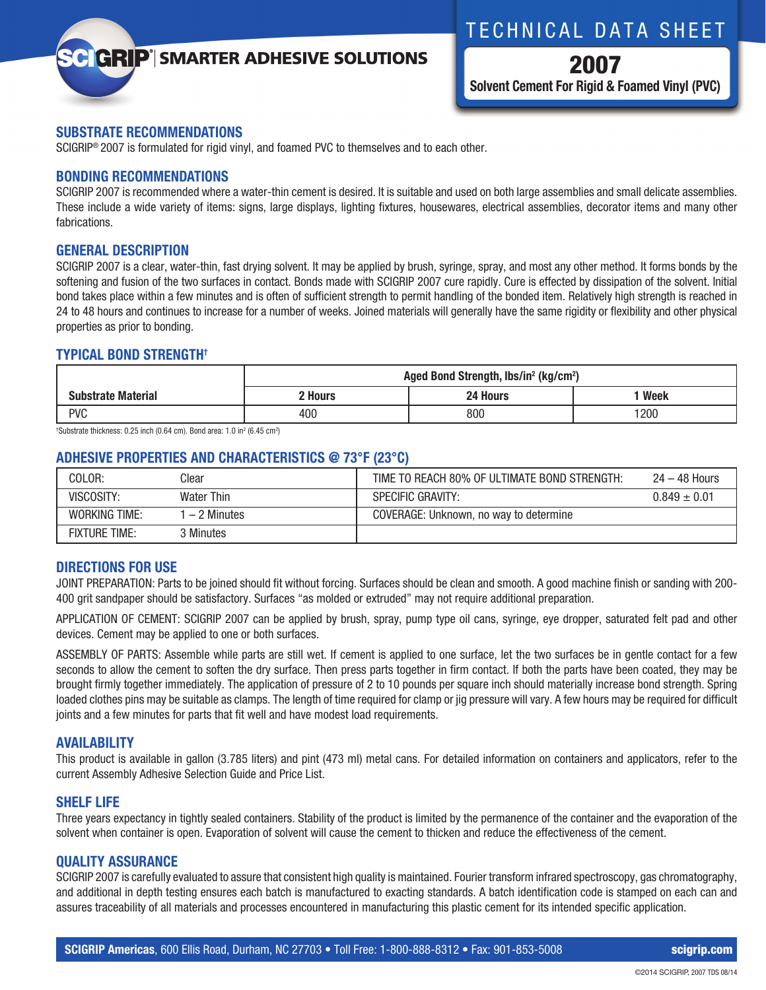## TECHNICAL DATA SHEET

# **GRIP**<sup>'</sup> SMARTER ADHESIVE SOLUTIONS

2007 **Solvent Cement For Rigid & Foamed Vinyl (PVC)**

## **SUBSTRATE RECOMMENDATIONS**

SCIGRIP® 2007 is formulated for rigid vinyl, and foamed PVC to themselves and to each other.

#### **BONDING RECOMMENDATIONS**

SCIGRIP 2007 is recommended where a water-thin cement is desired. It is suitable and used on both large assemblies and small delicate assemblies. These include a wide variety of items: signs, large displays, lighting fixtures, housewares, electrical assemblies, decorator items and many other fabrications.

## **GENERAL DESCRIPTION**

SCIGRIP 2007 is a clear, water-thin, fast drying solvent. It may be applied by brush, syringe, spray, and most any other method. It forms bonds by the softening and fusion of the two surfaces in contact. Bonds made with SCIGRIP 2007 cure rapidly. Cure is effected by dissipation of the solvent. Initial bond takes place within a few minutes and is often of sufficient strength to permit handling of the bonded item. Relatively high strength is reached in 24 to 48 hours and continues to increase for a number of weeks. Joined materials will generally have the same rigidity or flexibility and other physical properties as prior to bonding.

## **TYPICAL BOND STRENGTH†**

|                           | Aged Bond Strength, lbs/in <sup>2</sup> (kg/cm <sup>2</sup> ) |          |      |  |
|---------------------------|---------------------------------------------------------------|----------|------|--|
| <b>Substrate Material</b> | ' Hours                                                       | 24 Hours | Week |  |
| <b>PVC</b>                | 400                                                           | 800      | 1200 |  |

 $\text{'Substrate thickness: 0.25 inch (0.64 cm). Bond area: 1.0 in<sup>2</sup> (6.45 cm<sup>2</sup>)}$ 

## **ADHESIVE PROPERTIES AND CHARACTERISTICS @ 73°F (23°C)**

| COLOR:               | Clear        | TIME TO REACH 80% OF ULTIMATE BOND STRENGTH: | $24 - 48$ Hours  |
|----------------------|--------------|----------------------------------------------|------------------|
| VISCOSITY:           | Water Thin   | <b>SPECIFIC GRAVITY:</b>                     | $0.849 \pm 0.01$ |
| WORKING TIME:        | $-2$ Minutes | COVERAGE: Unknown, no way to determine       |                  |
| <b>FIXTURE TIME:</b> | Minutes      |                                              |                  |

#### **DIRECTIONS FOR USE**

JOINT PREPARATION: Parts to be joined should fit without forcing. Surfaces should be clean and smooth. A good machine finish or sanding with 200- 400 grit sandpaper should be satisfactory. Surfaces "as molded or extruded" may not require additional preparation.

APPLICATION OF CEMENT: SCIGRIP 2007 can be applied by brush, spray, pump type oil cans, syringe, eye dropper, saturated felt pad and other devices. Cement may be applied to one or both surfaces.

ASSEMBLY OF PARTS: Assemble while parts are still wet. If cement is applied to one surface, let the two surfaces be in gentle contact for a few seconds to allow the cement to soften the dry surface. Then press parts together in firm contact. If both the parts have been coated, they may be brought firmly together immediately. The application of pressure of 2 to 10 pounds per square inch should materially increase bond strength. Spring loaded clothes pins may be suitable as clamps. The length of time required for clamp or jig pressure will vary. A few hours may be required for difficult joints and a few minutes for parts that fit well and have modest load requirements.

## **AVAILABILITY**

This product is available in gallon (3.785 liters) and pint (473 ml) metal cans. For detailed information on containers and applicators, refer to the current Assembly Adhesive Selection Guide and Price List.

## **SHELF LIFE**

Three years expectancy in tightly sealed containers. Stability of the product is limited by the permanence of the container and the evaporation of the solvent when container is open. Evaporation of solvent will cause the cement to thicken and reduce the effectiveness of the cement.

### **QUALITY ASSURANCE**

SCIGRIP 2007 is carefully evaluated to assure that consistent high quality is maintained. Fourier transform infrared spectroscopy, gas chromatography, and additional in depth testing ensures each batch is manufactured to exacting standards. A batch identification code is stamped on each can and assures traceability of all materials and processes encountered in manufacturing this plastic cement for its intended specific application.